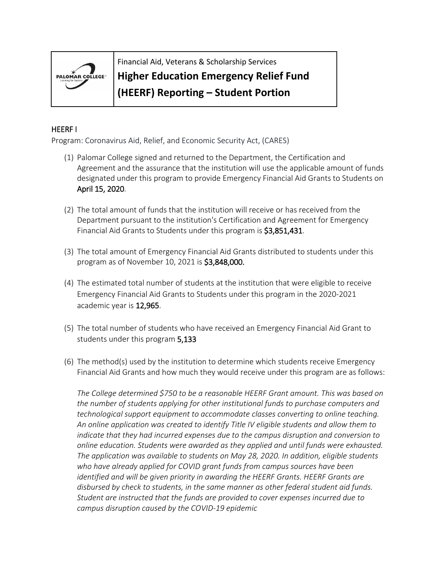

Financial Aid, Veterans & Scholarship Services

## **Higher Education Emergency Relief Fund**

**(HEERF) Reporting – Student Portion**

## HEERF I

Program: Coronavirus Aid, Relief, and Economic Security Act, (CARES)

- (1) Palomar College signed and returned to the Department, the Certification and Agreement and the assurance that the institution will use the applicable amount of funds designated under this program to provide Emergency Financial Aid Grants to Students on April 15, 2020.
- (2) The total amount of funds that the institution will receive or has received from the Department pursuant to the institution's Certification and Agreement for Emergency Financial Aid Grants to Students under this program is \$3,851,431.
- (3) The total amount of Emergency Financial Aid Grants distributed to students under this program as of November 10, 2021 is \$3,848,000.
- (4) The estimated total number of students at the institution that were eligible to receive Emergency Financial Aid Grants to Students under this program in the 2020-2021 academic year is 12,965.
- (5) The total number of students who have received an Emergency Financial Aid Grant to students under this program 5,133
- (6) The method(s) used by the institution to determine which students receive Emergency Financial Aid Grants and how much they would receive under this program are as follows:

*The College determined \$750 to be a reasonable HEERF Grant amount. This was based on the number of students applying for other institutional funds to purchase computers and technological support equipment to accommodate classes converting to online teaching. An online application was created to identify Title IV eligible students and allow them to indicate that they had incurred expenses due to the campus disruption and conversion to online education. Students were awarded as they applied and until funds were exhausted. The application was available to students on May 28, 2020. In addition, eligible students who have already applied for COVID grant funds from campus sources have been identified and will be given priority in awarding the HEERF Grants. HEERF Grants are disbursed by check to students, in the same manner as other federal student aid funds. Student are instructed that the funds are provided to cover expenses incurred due to campus disruption caused by the COVID-19 epidemic*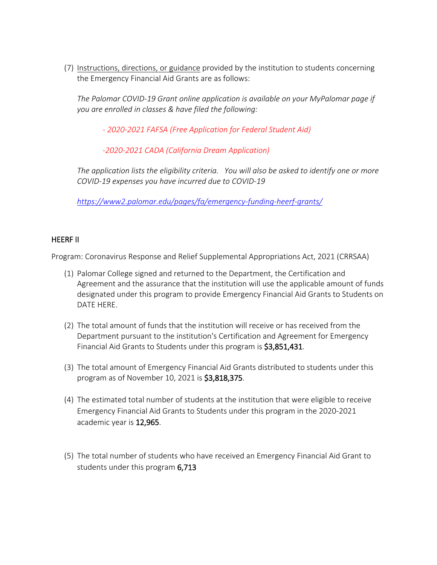(7) [Instructions, directions, or](https://www2.palomar.edu/pages/fa/emergency-funding-heerf-grants/) guidance provided by the institution to students concerning the Emergency Financial Aid Grants are as follows:

*The Palomar COVID-19 Grant online application is available on your MyPalomar page if you are enrolled in classes & have filed the following:*

*- 2020-2021 [FAFSA \(Free Application for Federal Student Aid\)](https://studentaid.gov/h/apply-for-aid/fafsa)*

*-2020-2021 [CADA \(California Dream Application\)](https://dream.csac.ca.gov/)*

*The application lists the eligibility criteria. You will also be asked to identify one or more COVID-19 expenses you have incurred due to COVID-19*

*<https://www2.palomar.edu/pages/fa/emergency-funding-heerf-grants/>*

## HEERF II

Program: Coronavirus Response and Relief Supplemental Appropriations Act, 2021 (CRRSAA)

- (1) Palomar College signed and returned to the Department, the Certification and Agreement and the assurance that the institution will use the applicable amount of funds designated under this program to provide Emergency Financial Aid Grants to Students on DATE HERE.
- (2) The total amount of funds that the institution will receive or has received from the Department pursuant to the institution's Certification and Agreement for Emergency Financial Aid Grants to Students under this program is \$3,851,431.
- (3) The total amount of Emergency Financial Aid Grants distributed to students under this program as of November 10, 2021 is \$3,818,375.
- (4) The estimated total number of students at the institution that were eligible to receive Emergency Financial Aid Grants to Students under this program in the 2020-2021 academic year is 12,965.
- (5) The total number of students who have received an Emergency Financial Aid Grant to students under this program 6,713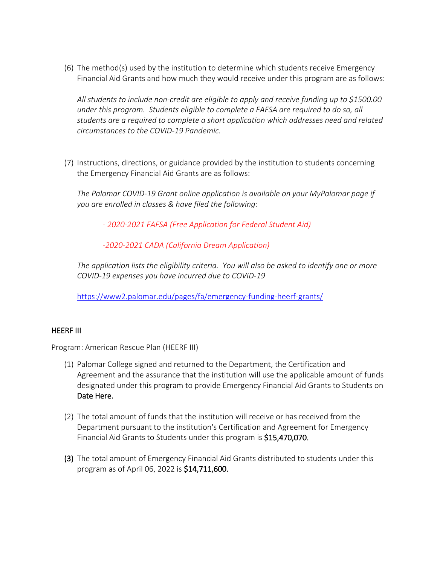(6) The method(s) used by the institution to determine which students receive Emergency Financial Aid Grants and how much they would receive under this program are as follows:

*All students to include non-credit are eligible to apply and receive funding up to \$1500.00 under this program. Students eligible to complete a FAFSA are required to do so, all students are a required to complete a short application which addresses need and related circumstances to the COVID-19 Pandemic.* 

(7) Instructions, directions, or guidance provided by the institution to students concerning the Emergency Financial Aid Grants are as follows:

*The Palomar COVID-19 Grant online application is available on your MyPalomar page if you are enrolled in classes & have filed the following:*

*- [2020-2021 FAFSA \(Free Application for Federal Student Aid\)](https://studentaid.gov/h/apply-for-aid/fafsa)*

*[-2020-2021 CADA \(California Dream Application\)](https://dream.csac.ca.gov/)*

*The application lists the eligibility criteria. You will also be asked to identify one or more COVID-19 expenses you have incurred due to COVID-19*

<https://www2.palomar.edu/pages/fa/emergency-funding-heerf-grants/>

## HEERF III

Program: American Rescue Plan (HEERF III)

- (1) Palomar College signed and returned to the Department, the Certification and Agreement and the assurance that the institution will use the applicable amount of funds designated under this program to provide Emergency Financial Aid Grants to Students on Date Here.
- (2) The total amount of funds that the institution will receive or has received from the Department pursuant to the institution's Certification and Agreement for Emergency Financial Aid Grants to Students under this program is \$15,470,070.
- (3) The total amount of Emergency Financial Aid Grants distributed to students under this program as of April 06, 2022 is \$14,711,600.